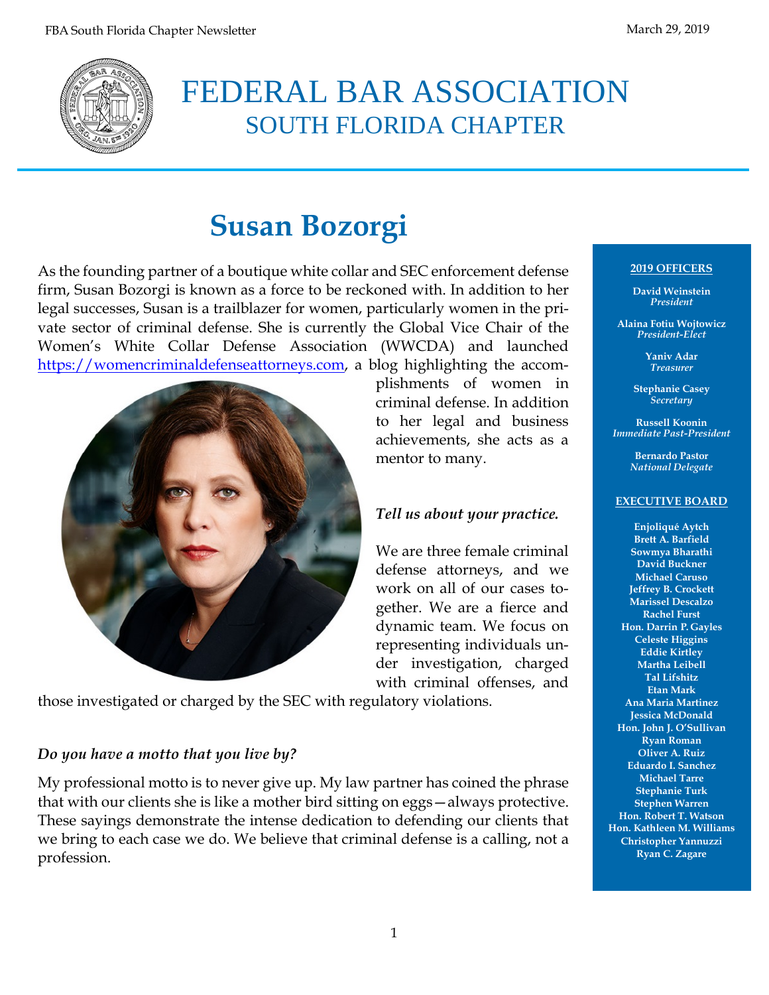

# FEDERAL BAR ASSOCIATION SOUTH FLORIDA CHAPTER

# **Susan Bozorgi**

As the founding partner of a boutique white collar and SEC enforcement defense firm, Susan Bozorgi is known as a force to be reckoned with. In addition to her legal successes, Susan is a trailblazer for women, particularly women in the private sector of criminal defense. She is currently the Global Vice Chair of the Women's White Collar Defense Association (WWCDA) and launched [https://womencriminaldefenseattorneys.com,](https://womencriminaldefenseattorneys.com/) a blog highlighting the accom-



plishments of women in criminal defense. In addition to her legal and business achievements, she acts as a mentor to many.

## *Tell us about your practice.*

We are three female criminal defense attorneys, and we work on all of our cases together. We are a fierce and dynamic team. We focus on representing individuals under investigation, charged with criminal offenses, and

those investigated or charged by the SEC with regulatory violations.

#### *Do you have a motto that you live by?*

My professional motto is to never give up. My law partner has coined the phrase that with our clients she is like a mother bird sitting on eggs—always protective. These sayings demonstrate the intense dedication to defending our clients that we bring to each case we do. We believe that criminal defense is a calling, not a profession.

#### **2019 OFFICERS**

**David Weinstein** *President*

**Alaina Fotiu Wojtowicz** *President-Elect*

> **Yaniv Adar** *Treasurer*

**Stephanie Casey** *Secretary*

**Russell Koonin** *Immediate Past-President*

> **Bernardo Pastor** *National Delegate*

#### **EXECUTIVE BOARD**

**Enjoliqué Aytch Brett A. Barfield Sowmya Bharathi David Buckner Michael Caruso Jeffrey B. Crockett Marissel Descalzo Rachel Furst Hon. Darrin P. Gayles Celeste Higgins Eddie Kirtley Martha Leibell Tal Lifshitz Etan Mark Ana Maria Martinez Jessica McDonald Hon. John J. O'Sullivan Ryan Roman Oliver A. Ruiz Eduardo I. Sanchez Michael Tarre Stephanie Turk Stephen Warren Hon. Robert T. Watson Hon. Kathleen M. Williams Christopher Yannuzzi Ryan C. Zagare**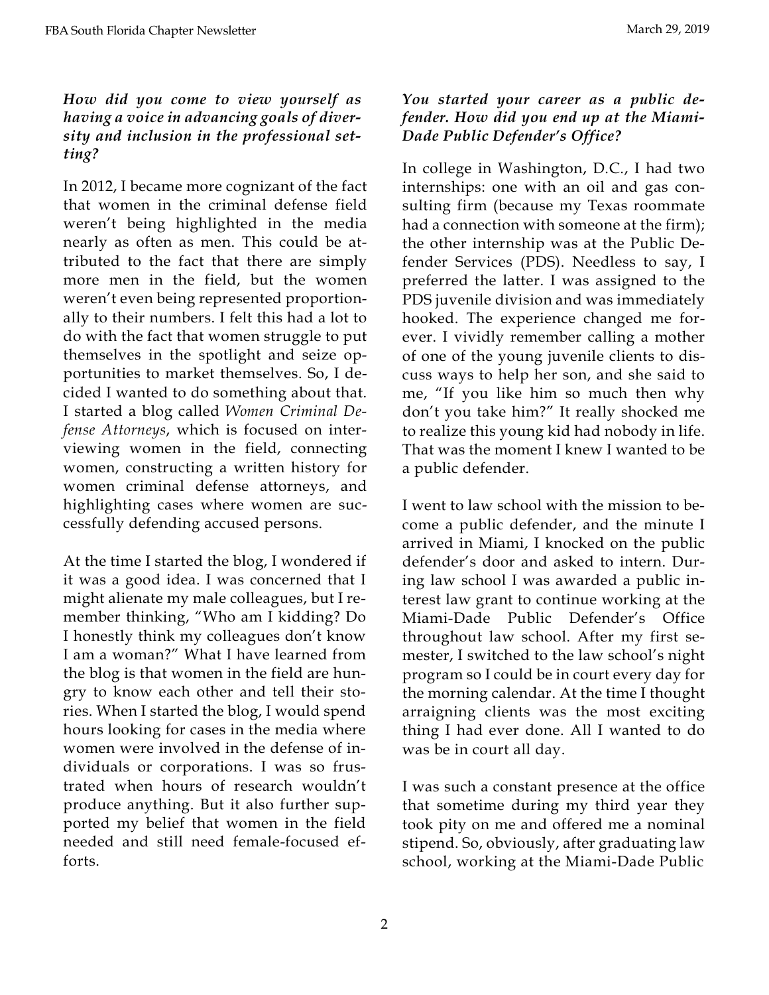### *How did you come to view yourself as having a voice in advancing goals of diversity and inclusion in the professional setting?*

In 2012, I became more cognizant of the fact that women in the criminal defense field weren't being highlighted in the media nearly as often as men. This could be attributed to the fact that there are simply more men in the field, but the women weren't even being represented proportionally to their numbers. I felt this had a lot to do with the fact that women struggle to put themselves in the spotlight and seize opportunities to market themselves. So, I decided I wanted to do something about that. I started a blog called *Women Criminal Defense Attorneys*, which is focused on interviewing women in the field, connecting women, constructing a written history for women criminal defense attorneys, and highlighting cases where women are successfully defending accused persons.

At the time I started the blog, I wondered if it was a good idea. I was concerned that I might alienate my male colleagues, but I remember thinking, "Who am I kidding? Do I honestly think my colleagues don't know I am a woman?" What I have learned from the blog is that women in the field are hungry to know each other and tell their stories. When I started the blog, I would spend hours looking for cases in the media where women were involved in the defense of individuals or corporations. I was so frustrated when hours of research wouldn't produce anything. But it also further supported my belief that women in the field needed and still need female-focused efforts.

### *You started your career as a public defender. How did you end up at the Miami-Dade Public Defender's Office?*

In college in Washington, D.C., I had two internships: one with an oil and gas consulting firm (because my Texas roommate had a connection with someone at the firm); the other internship was at the Public Defender Services (PDS). Needless to say, I preferred the latter. I was assigned to the PDS juvenile division and was immediately hooked. The experience changed me forever. I vividly remember calling a mother of one of the young juvenile clients to discuss ways to help her son, and she said to me, "If you like him so much then why don't you take him?" It really shocked me to realize this young kid had nobody in life. That was the moment I knew I wanted to be a public defender.

I went to law school with the mission to become a public defender, and the minute I arrived in Miami, I knocked on the public defender's door and asked to intern. During law school I was awarded a public interest law grant to continue working at the Miami-Dade Public Defender's Office throughout law school. After my first semester, I switched to the law school's night program so I could be in court every day for the morning calendar. At the time I thought arraigning clients was the most exciting thing I had ever done. All I wanted to do was be in court all day.

I was such a constant presence at the office that sometime during my third year they took pity on me and offered me a nominal stipend. So, obviously, after graduating law school, working at the Miami-Dade Public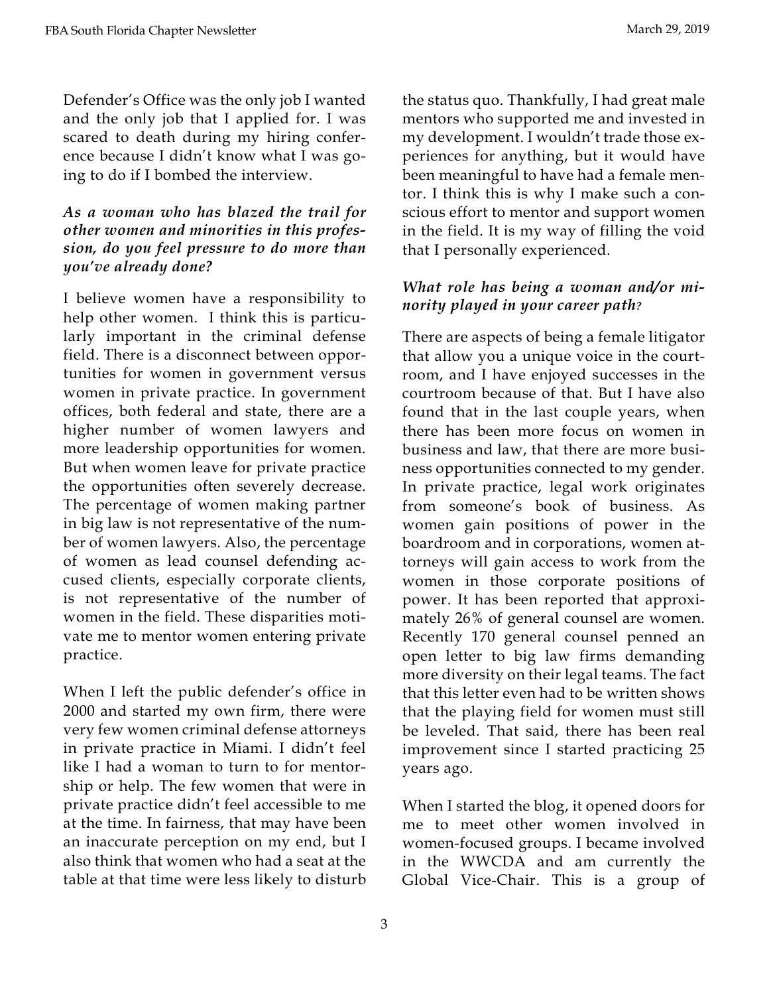Defender's Office was the only job I wanted and the only job that I applied for. I was scared to death during my hiring conference because I didn't know what I was going to do if I bombed the interview.

## *As a woman who has blazed the trail for other women and minorities in this profession, do you feel pressure to do more than you've already done?*

I believe women have a responsibility to help other women. I think this is particularly important in the criminal defense field. There is a disconnect between opportunities for women in government versus women in private practice. In government offices, both federal and state, there are a higher number of women lawyers and more leadership opportunities for women. But when women leave for private practice the opportunities often severely decrease. The percentage of women making partner in big law is not representative of the number of women lawyers. Also, the percentage of women as lead counsel defending accused clients, especially corporate clients, is not representative of the number of women in the field. These disparities motivate me to mentor women entering private practice.

When I left the public defender's office in 2000 and started my own firm, there were very few women criminal defense attorneys in private practice in Miami. I didn't feel like I had a woman to turn to for mentorship or help. The few women that were in private practice didn't feel accessible to me at the time. In fairness, that may have been an inaccurate perception on my end, but I also think that women who had a seat at the table at that time were less likely to disturb

the status quo. Thankfully, I had great male mentors who supported me and invested in my development. I wouldn't trade those experiences for anything, but it would have been meaningful to have had a female mentor. I think this is why I make such a conscious effort to mentor and support women in the field. It is my way of filling the void that I personally experienced.

### *What role has being a woman and/or minority played in your career path?*

There are aspects of being a female litigator that allow you a unique voice in the courtroom, and I have enjoyed successes in the courtroom because of that. But I have also found that in the last couple years, when there has been more focus on women in business and law, that there are more business opportunities connected to my gender. In private practice, legal work originates from someone's book of business. As women gain positions of power in the boardroom and in corporations, women attorneys will gain access to work from the women in those corporate positions of power. It has been reported that approximately 26% of general counsel are women. Recently 170 general counsel penned an open letter to big law firms demanding more diversity on their legal teams. The fact that this letter even had to be written shows that the playing field for women must still be leveled. That said, there has been real improvement since I started practicing 25 years ago.

When I started the blog, it opened doors for me to meet other women involved in women-focused groups. I became involved in the WWCDA and am currently the Global Vice-Chair. This is a group of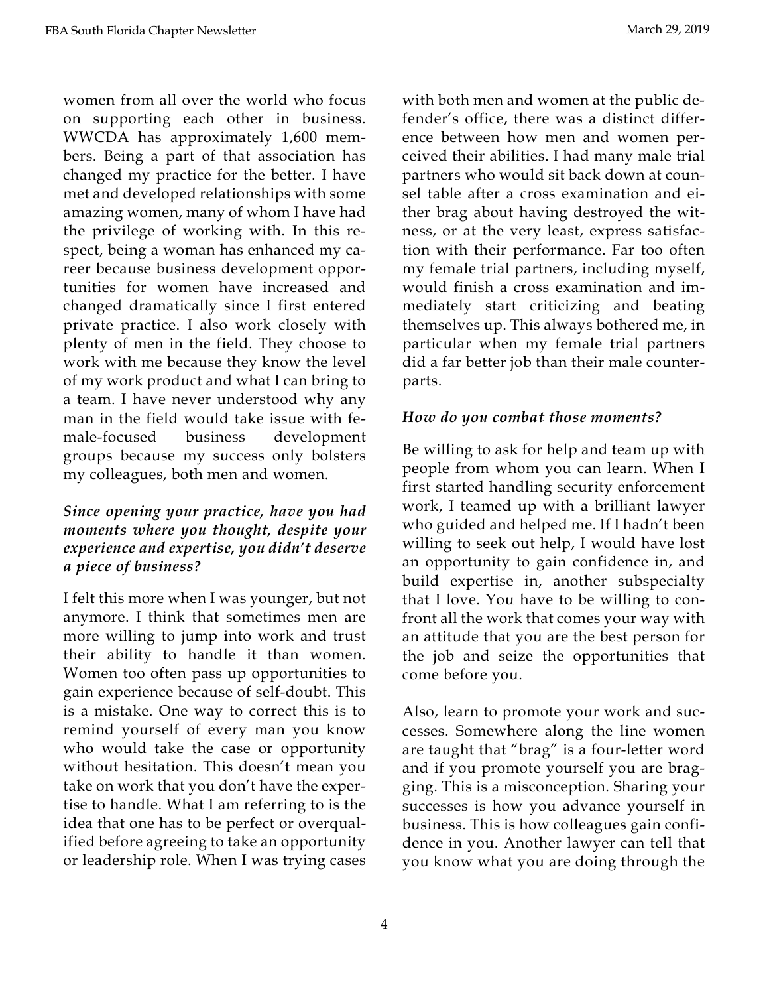women from all over the world who focus on supporting each other in business. WWCDA has approximately 1,600 members. Being a part of that association has changed my practice for the better. I have met and developed relationships with some amazing women, many of whom I have had the privilege of working with. In this respect, being a woman has enhanced my career because business development opportunities for women have increased and changed dramatically since I first entered private practice. I also work closely with plenty of men in the field. They choose to work with me because they know the level of my work product and what I can bring to a team. I have never understood why any man in the field would take issue with female-focused business development groups because my success only bolsters my colleagues, both men and women.

#### *Since opening your practice, have you had moments where you thought, despite your experience and expertise, you didn't deserve a piece of business?*

I felt this more when I was younger, but not anymore. I think that sometimes men are more willing to jump into work and trust their ability to handle it than women. Women too often pass up opportunities to gain experience because of self-doubt. This is a mistake. One way to correct this is to remind yourself of every man you know who would take the case or opportunity without hesitation. This doesn't mean you take on work that you don't have the expertise to handle. What I am referring to is the idea that one has to be perfect or overqualified before agreeing to take an opportunity or leadership role. When I was trying cases

4

with both men and women at the public defender's office, there was a distinct difference between how men and women perceived their abilities. I had many male trial partners who would sit back down at counsel table after a cross examination and either brag about having destroyed the witness, or at the very least, express satisfaction with their performance. Far too often my female trial partners, including myself, would finish a cross examination and immediately start criticizing and beating themselves up. This always bothered me, in particular when my female trial partners did a far better job than their male counterparts.

#### *How do you combat those moments?*

Be willing to ask for help and team up with people from whom you can learn. When I first started handling security enforcement work, I teamed up with a brilliant lawyer who guided and helped me. If I hadn't been willing to seek out help, I would have lost an opportunity to gain confidence in, and build expertise in, another subspecialty that I love. You have to be willing to confront all the work that comes your way with an attitude that you are the best person for the job and seize the opportunities that come before you.

Also, learn to promote your work and successes. Somewhere along the line women are taught that "brag" is a four-letter word and if you promote yourself you are bragging. This is a misconception. Sharing your successes is how you advance yourself in business. This is how colleagues gain confidence in you. Another lawyer can tell that you know what you are doing through the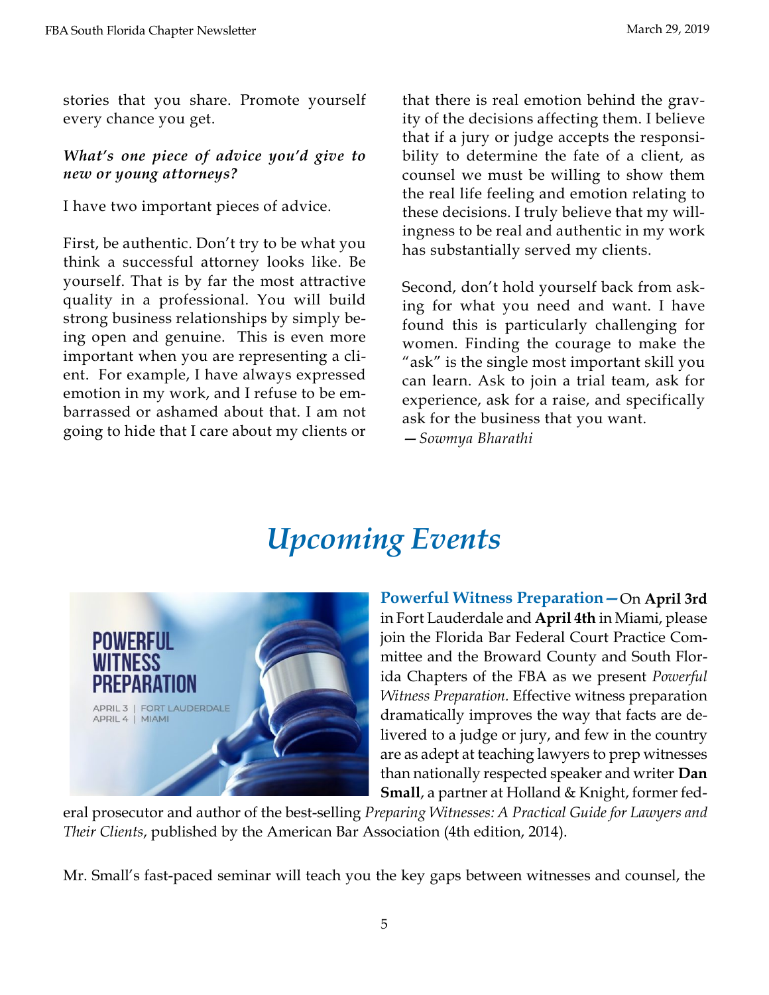stories that you share. Promote yourself every chance you get.

## *What's one piece of advice you'd give to new or young attorneys?*

I have two important pieces of advice.

First, be authentic. Don't try to be what you think a successful attorney looks like. Be yourself. That is by far the most attractive quality in a professional. You will build strong business relationships by simply being open and genuine. This is even more important when you are representing a client. For example, I have always expressed emotion in my work, and I refuse to be embarrassed or ashamed about that. I am not going to hide that I care about my clients or

that there is real emotion behind the gravity of the decisions affecting them. I believe that if a jury or judge accepts the responsibility to determine the fate of a client, as counsel we must be willing to show them the real life feeling and emotion relating to these decisions. I truly believe that my willingness to be real and authentic in my work has substantially served my clients.

Second, don't hold yourself back from asking for what you need and want. I have found this is particularly challenging for women. Finding the courage to make the "ask" is the single most important skill you can learn. Ask to join a trial team, ask for experience, ask for a raise, and specifically ask for the business that you want.

—*Sowmya Bharathi*

# *Upcoming Events*



**Powerful Witness Preparation—**On **April 3rd**  in Fort Lauderdale and **April 4th** in Miami, please join the Florida Bar Federal Court Practice Committee and the Broward County and South Florida Chapters of the FBA as we present *Powerful Witness Preparation.* Effective witness preparation dramatically improves the way that facts are delivered to a judge or jury, and few in the country are as adept at teaching lawyers to prep witnesses than nationally respected speaker and writer **[Dan](https://www.hklaw.com/Daniel-Small/) [Small](https://www.hklaw.com/Daniel-Small/)**, a partner at Holland & Knight, former fed-

eral prosecutor and author of the best-selling *Preparing [Witnesses:](https://www.amazon.com/Preparing-Witnesses-Daniel-I-Small/dp/1604424788) A Practical Guide for Lawyers and Their [Clients](https://www.amazon.com/Preparing-Witnesses-Daniel-I-Small/dp/1604424788)*, published by the American Bar Association (4th edition, 2014).

Mr. Small's fast-paced seminar will teach you the key gaps between witnesses and counsel, the